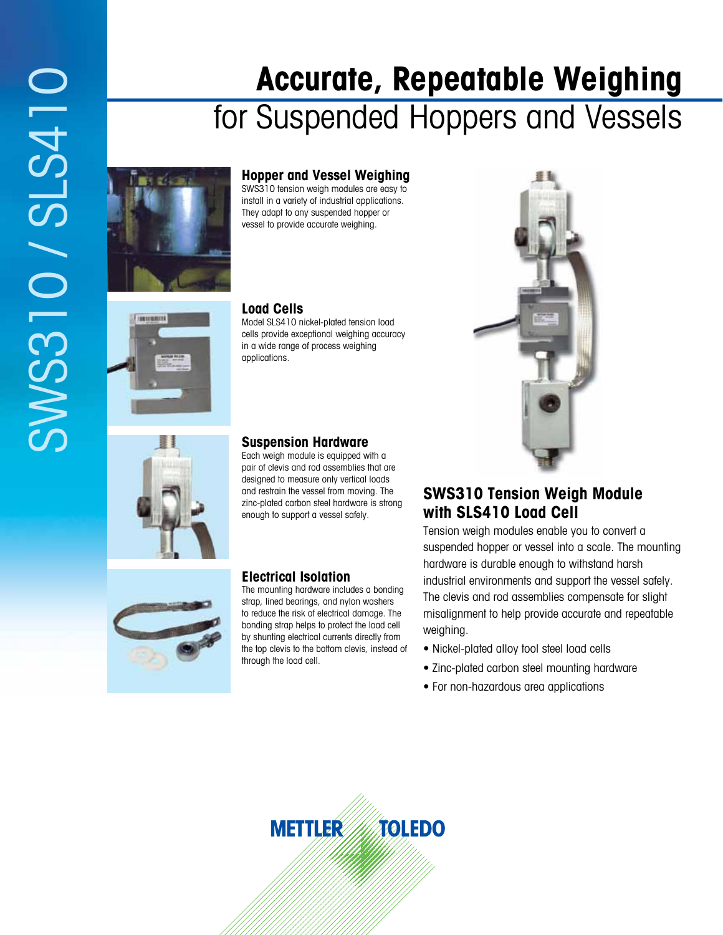# **Accurate, Repeatable Weighing**  for Suspended Hoppers and Vessels



**ISBN 97** 

### **Hopper and Vessel Weighing**

SWS310 tension weigh modules are easy to install in a variety of industrial applications. They adapt to any suspended hopper or vessel to provide accurate weighing.

#### **Load Cells**

Model SLS410 nickel-plated tension load cells provide exceptional weighing accuracy in a wide range of process weighing applications.

### **Suspension Hardware**

Each weigh module is equipped with a pair of clevis and rod assemblies that are designed to measure only vertical loads and restrain the vessel from moving. The zinc-plated carbon steel hardware is strong enough to support a vessel safely.



### **Electrical Isolation**

The mounting hardware includes a bonding strap, lined bearings, and nylon washers to reduce the risk of electrical damage. The bonding strap helps to protect the load cell by shunting electrical currents directly from the top clevis to the bottom clevis, instead of through the load cell.



### **SWS310 Tension Weigh Module with SLS410 Load Cell**

Tension weigh modules enable you to convert a suspended hopper or vessel into a scale. The mounting hardware is durable enough to withstand harsh industrial environments and support the vessel safely. The clevis and rod assemblies compensate for slight misalignment to help provide accurate and repeatable weighing.

- Nickel-plated alloy tool steel load cells
- Zinc-plated carbon steel mounting hardware
- For non-hazardous area applications

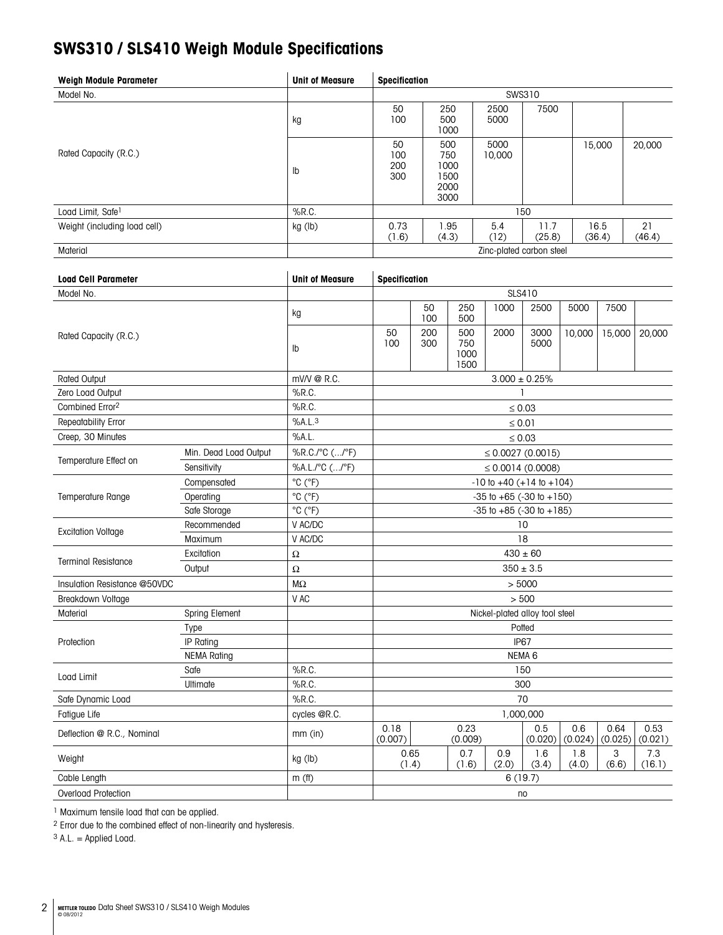# **SWS310 / SLS410 Weigh Module Specifications**

| <b>Weigh Module Parameter</b> | <b>Unit of Measure</b> | <b>Specification</b>     |                                            |                |                |                |              |
|-------------------------------|------------------------|--------------------------|--------------------------------------------|----------------|----------------|----------------|--------------|
| Model No.                     |                        | SWS310                   |                                            |                |                |                |              |
|                               | kg                     | 50<br>100                | 250<br>500<br>1000                         | 2500<br>5000   | 7500           |                |              |
| Rated Capacity (R.C.)         | $\mathsf{lb}$          | 50<br>100<br>200<br>300  | 500<br>750<br>1000<br>1500<br>2000<br>3000 | 5000<br>10,000 |                | 15,000         | 20,000       |
| Load Limit, Safe1             | $%$ R.C.               | 150                      |                                            |                |                |                |              |
| Weight (including load cell)  | kg (lb)                | 0.73<br>(1.6)            | .95<br>(4.3)                               | 5.4<br>(12)    | 11.7<br>(25.8) | 16.5<br>(36.4) | 21<br>(46.4) |
| Material                      |                        | Zinc-plated carbon steel |                                            |                |                |                |              |

| <b>Load Cell Parameter</b>   |                       | <b>Unit of Measure</b>       | Specification                      |                   |                            |              |                |                |                 |                 |
|------------------------------|-----------------------|------------------------------|------------------------------------|-------------------|----------------------------|--------------|----------------|----------------|-----------------|-----------------|
| Model No.                    |                       |                              | SLS410                             |                   |                            |              |                |                |                 |                 |
|                              |                       | kg                           |                                    | 50<br>100         | 250<br>500                 | 1000         | 2500           | 5000           | 7500            |                 |
| Rated Capacity (R.C.)        |                       | Ib                           | 50<br>100                          | 200<br>300        | 500<br>750<br>1000<br>1500 | 2000         | 3000<br>5000   | 10,000         | 15,000          | 20,000          |
| <b>Rated Output</b>          |                       | mV/V @ R.C.                  | $3.000 \pm 0.25\%$                 |                   |                            |              |                |                |                 |                 |
| Zero Load Output             |                       | $%$ R.C.                     | $\mathbf{1}$                       |                   |                            |              |                |                |                 |                 |
| Combined Error <sup>2</sup>  |                       | $%$ R.C.                     | $\leq 0.03$                        |                   |                            |              |                |                |                 |                 |
| Repeatability Error          |                       | %A.L.3                       | $\leq 0.01$                        |                   |                            |              |                |                |                 |                 |
| Creep, 30 Minutes            |                       | %A.L.                        | $\leq 0.03$                        |                   |                            |              |                |                |                 |                 |
|                              | Min. Dead Load Output | %R.C./°C (/°F)               | $\leq 0.0027(0.0015)$              |                   |                            |              |                |                |                 |                 |
| Temperature Effect on        | Sensitivity           | %A.L./°C (/°F)               | $\leq 0.0014$ (0.0008)             |                   |                            |              |                |                |                 |                 |
|                              | Compensated           | $^{\circ}$ C ( $^{\circ}$ F) | $-10$ to $+40$ ( $+14$ to $+104$ ) |                   |                            |              |                |                |                 |                 |
| <b>Temperature Range</b>     | Operating             | $^{\circ}$ C $(^{\circ}F)$   | $-35$ to $+65$ ( $-30$ to $+150$ ) |                   |                            |              |                |                |                 |                 |
|                              | Safe Storage          | $^{\circ}$ C ( $^{\circ}$ F) | $-35$ to $+85$ ( $-30$ to $+185$ ) |                   |                            |              |                |                |                 |                 |
|                              | Recommended           | V AC/DC                      | 10                                 |                   |                            |              |                |                |                 |                 |
| <b>Excitation Voltage</b>    | Maximum               | V AC/DC                      | 18                                 |                   |                            |              |                |                |                 |                 |
| <b>Terminal Resistance</b>   | Excitation            | $\Omega$                     | $430 \pm 60$                       |                   |                            |              |                |                |                 |                 |
|                              | Output                | $\Omega$                     | $350 \pm 3.5$                      |                   |                            |              |                |                |                 |                 |
| Insulation Resistance @50VDC |                       | $M\Omega$                    | > 5000                             |                   |                            |              |                |                |                 |                 |
| Breakdown Voltage            | V AC                  | > 500                        |                                    |                   |                            |              |                |                |                 |                 |
| Material                     | Spring Element        |                              | Nickel-plated alloy tool steel     |                   |                            |              |                |                |                 |                 |
|                              | Type                  |                              | Potted                             |                   |                            |              |                |                |                 |                 |
| Protection                   | IP Rating             |                              | <b>IP67</b>                        |                   |                            |              |                |                |                 |                 |
|                              | <b>NEMA Rating</b>    |                              |                                    | NEMA <sub>6</sub> |                            |              |                |                |                 |                 |
| Load Limit                   | Safe                  | %R.C.                        | 150                                |                   |                            |              |                |                |                 |                 |
|                              | Ultimate              | %R.C.                        | 300                                |                   |                            |              |                |                |                 |                 |
| Safe Dynamic Load            | $%$ R.C.              | 70                           |                                    |                   |                            |              |                |                |                 |                 |
| Fatigue Life                 | cycles @R.C.          | 1,000,000                    |                                    |                   |                            |              |                |                |                 |                 |
| Deflection @ R.C., Nominal   |                       | $mm$ (in)                    | 0.18<br>(0.007)                    |                   | 0.23<br>(0.009)            |              | 0.5<br>(0.020) | 0.6<br>(0.024) | 0.64<br>(0.025) | 0.53<br>(0.021) |
| Weight                       |                       | kg (lb)                      | (1.4)                              | 0.65              | 0.7<br>(1.6)               | 0.9<br>(2.0) | 1.6<br>(3.4)   | 1.8<br>(4.0)   | 3<br>(6.6)      | 7.3<br>(16.1)   |
| Cable Length                 | m(f)                  |                              |                                    |                   |                            | 6(19.7)      |                |                |                 |                 |
| <b>Overload Protection</b>   |                       |                              | no                                 |                   |                            |              |                |                |                 |                 |

1 Maximum tensile load that can be applied.

2 Error due to the combined effect of non-linearity and hysteresis.

 $3$  A.L. = Applied Load.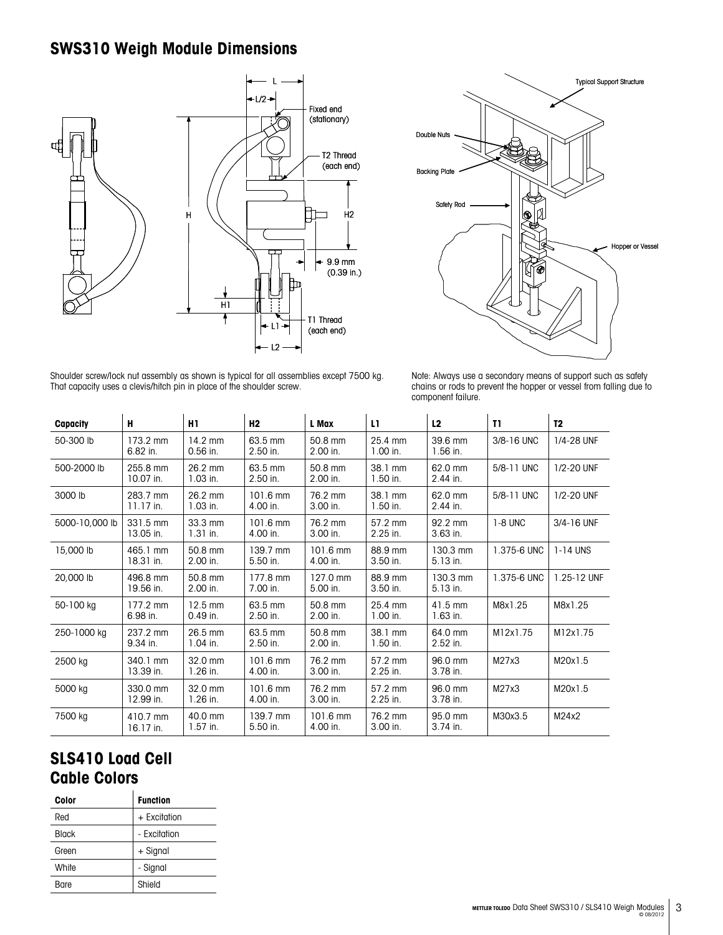# **SWS310 Weigh Module Dimensions**





Shoulder screw/lock nut assembly as shown is typical for all assemblies except 7500 kg. That capacity uses a clevis/hitch pin in place of the shoulder screw.

| Note: Always use a secondary means of support such as safety       |
|--------------------------------------------------------------------|
| chains or rods to prevent the hopper or vessel from falling due to |
| component failure.                                                 |

| Capacity       | н                              | H <sub>1</sub>          | H <sub>2</sub>                 | L Max                          | L1.                   | L2                     | T1          | T <sub>2</sub> |
|----------------|--------------------------------|-------------------------|--------------------------------|--------------------------------|-----------------------|------------------------|-------------|----------------|
| 50-300 lb      | 173.2 mm<br>$6.82$ in.         | $14.2$ mm<br>$0.56$ in. | 63.5 mm<br>2.50 in.            | 50.8 mm<br>2.00 in.            | 25.4 mm<br>$1.00$ in. | 39.6 mm<br>$1.56$ in.  | 3/8-16 UNC  | 1/4-28 UNF     |
| 500-2000 lb    | 255.8 mm<br>10.07 in.          | 26.2 mm<br>$1.03$ in.   | 63.5 mm<br>2.50 in.            | 50.8 mm<br>2.00 in.            | 38.1 mm<br>$1.50$ in. | 62.0 mm<br>2.44 in.    | 5/8-11 UNC  | 1/2-20 UNF     |
| 3000 lb        | 283.7 mm<br>$11.17$ in.        | 26.2 mm<br>$1.03$ in.   | $101.6 \text{ mm}$<br>4.00 in. | 76.2 mm<br>3.00 in.            | 38.1 mm<br>$1.50$ in. | 62.0 mm<br>$2.44$ in.  | 5/8-11 UNC  | 1/2-20 UNF     |
| 5000-10,000 lb | 331.5 mm<br>13.05 in.          | 33.3 mm<br>$1.31$ in.   | $101.6 \text{ mm}$<br>4.00 in. | 76.2 mm<br>3.00 in.            | 57.2 mm<br>2.25 in.   | 92.2 mm<br>3.63 in.    | $1-8$ UNC   | 3/4-16 UNF     |
| 15,000 lb      | 465.1 mm<br>18.31 in.          | 50.8 mm<br>2.00 in.     | 139.7 mm<br>5.50 in.           | $101.6$ mm<br>4.00 in.         | 88.9 mm<br>3.50 in.   | $130.3$ mm<br>5.13 in. | 1.375-6 UNC | 1-14 UNS       |
| 20,000 lb      | 496.8 mm<br>19.56 in.          | 50.8 mm<br>2.00 in.     | 177.8 mm<br>7.00 in.           | 127.0 mm<br>5.00 in.           | 88.9 mm<br>3.50 in.   | 130.3 mm<br>5.13 in.   | 1.375-6 UNC | 1.25-12 UNF    |
| 50-100 kg      | $177.2 \text{ mm}$<br>6.98 in. | 12.5 mm<br>$0.49$ in.   | 63.5 mm<br>2.50 in.            | 50.8 mm<br>2.00 in.            | 25.4 mm<br>$1.00$ in. | 41.5 mm<br>$1.63$ in.  | M8x1.25     | M8x1.25        |
| 250-1000 kg    | 237.2 mm<br>9.34 in.           | 26.5 mm<br>$1.04$ in.   | 63.5 mm<br>2.50 in.            | 50.8 mm<br>2.00 in.            | 38.1 mm<br>$1.50$ in. | 64.0 mm<br>2.52 in.    | M12x1.75    | M12x1.75       |
| 2500 kg        | 340.1 mm<br>13.39 in.          | 32.0 mm<br>$1.26$ in.   | 101.6 mm<br>4.00 in.           | 76.2 mm<br>3.00 in.            | 57.2 mm<br>2.25 in.   | 96.0 mm<br>3.78 in.    | M27x3       | M20x1.5        |
| 5000 kg        | 330.0 mm<br>12.99 in.          | 32.0 mm<br>$1.26$ in.   | 101.6 mm<br>4.00 in.           | 76.2 mm<br>3.00 in.            | 57.2 mm<br>2.25 in.   | 96.0 mm<br>3.78 in.    | M27x3       | M20x1.5        |
| 7500 kg        | 410.7 mm<br>16.17 in.          | 40.0 mm<br>$1.57$ in.   | 139.7 mm<br>5.50 in.           | $101.6 \text{ mm}$<br>4.00 in. | 76.2 mm<br>3.00 in.   | 95.0 mm<br>3.74 in.    | M30x3.5     | M24x2          |

# **SLS410 Load Cell Cable Colors**

| Color        | <b>Function</b> |
|--------------|-----------------|
| Red          | + Excitation    |
| <b>Black</b> | - Excitation    |
| Green        | + Signal        |
| White        | - Signal        |
| Bare         | Shield          |